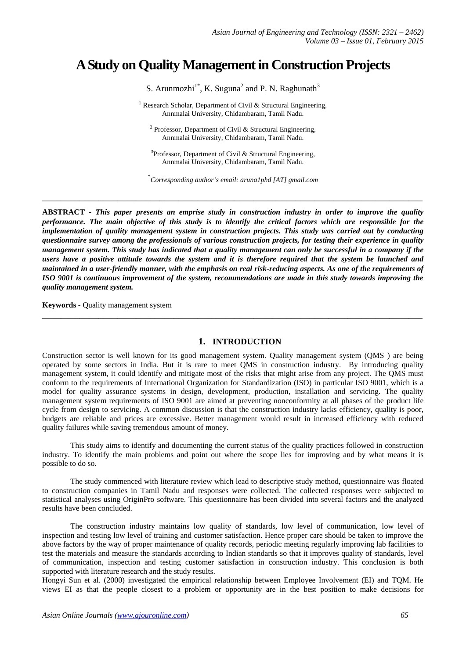# **A Study on Quality Management in Construction Projects**

S. Arunmozhi<sup>1\*</sup>, K. Suguna<sup>2</sup> and P. N. Raghunath<sup>3</sup>

<sup>1</sup> Research Scholar, Department of Civil & Structural Engineering, Annmalai University, Chidambaram, Tamil Nadu.

<sup>2</sup> Professor, Department of Civil & Structural Engineering, Annmalai University, Chidambaram, Tamil Nadu.

 $3$ Professor, Department of Civil & Structural Engineering, Annmalai University, Chidambaram, Tamil Nadu.

\* *Corresponding author's email: aruna1phd [AT] gmail.com*

**\_\_\_\_\_\_\_\_\_\_\_\_\_\_\_\_\_\_\_\_\_\_\_\_\_\_\_\_\_\_\_\_\_\_\_\_\_\_\_\_\_\_\_\_\_\_\_\_\_\_\_\_\_\_\_\_\_\_\_\_\_\_\_\_\_\_\_\_\_\_\_\_\_\_\_\_\_\_\_\_\_**

**ABSTRACT -** *This paper presents an emprise study in construction industry in order to improve the quality performance. The main objective of this study is to identify the critical factors which are responsible for the implementation of quality management system in construction projects. This study was carried out by conducting questionnaire survey among the professionals of various construction projects, for testing their experience in quality management system. This study has indicated that a quality management can only be successful in a company if the users have a positive attitude towards the system and it is therefore required that the system be launched and maintained in a user-friendly manner, with the emphasis on real risk-reducing aspects. As one of the requirements of ISO 9001 is continuous improvement of the system, recommendations are made in this study towards improving the quality management system.* 

**Keywords -** Quality management system

# **1. INTRODUCTION**

**\_\_\_\_\_\_\_\_\_\_\_\_\_\_\_\_\_\_\_\_\_\_\_\_\_\_\_\_\_\_\_\_\_\_\_\_\_\_\_\_\_\_\_\_\_\_\_\_\_\_\_\_\_\_\_\_\_\_\_\_\_\_\_\_\_\_\_\_\_\_\_\_\_\_\_\_\_\_\_\_\_**

Construction sector is well known for its good management system. Quality management system (QMS ) are being operated by some sectors in India. But it is rare to meet QMS in construction industry. By introducing quality management system, it could identify and mitigate most of the risks that might arise from any project. The QMS must conform to the requirements of International Organization for Standardization (ISO) in particular ISO 9001, which is a model for quality assurance systems in design, development, production, installation and servicing. The quality management system requirements of ISO 9001 are aimed at preventing nonconformity at all phases of the product life cycle from design to servicing. A common discussion is that the construction industry lacks efficiency, quality is poor, budgets are reliable and prices are excessive. Better management would result in increased efficiency with reduced quality failures while saving tremendous amount of money.

This study aims to identify and documenting the current status of the quality practices followed in construction industry. To identify the main problems and point out where the scope lies for improving and by what means it is possible to do so.

The study commenced with literature review which lead to descriptive study method, questionnaire was floated to construction companies in Tamil Nadu and responses were collected. The collected responses were subjected to statistical analyses using OriginPro software. This questionnaire has been divided into several factors and the analyzed results have been concluded.

The construction industry maintains low quality of standards, low level of communication, low level of inspection and testing low level of training and customer satisfaction. Hence proper care should be taken to improve the above factors by the way of proper maintenance of quality records, periodic meeting regularly improving lab facilities to test the materials and measure the standards according to Indian standards so that it improves quality of standards, level of communication, inspection and testing customer satisfaction in construction industry. This conclusion is both supported with literature research and the study results.

Hongyi Sun et al. (2000) investigated the empirical relationship between Employee Involvement (EI) and TQM. He views EI as that the people closest to a problem or opportunity are in the best position to make decisions for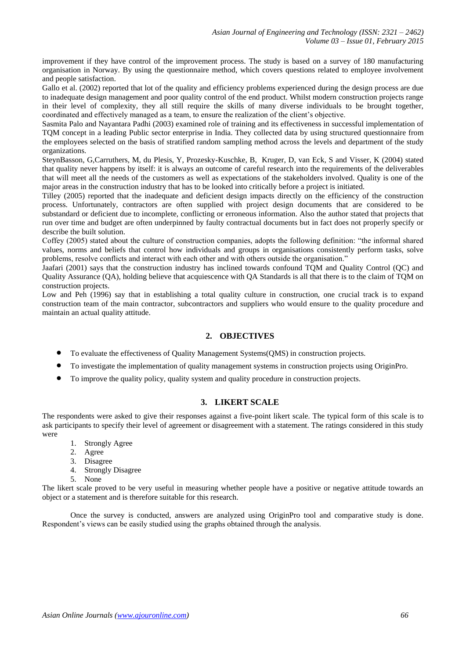improvement if they have control of the improvement process. The study is based on a survey of 180 manufacturing organisation in Norway. By using the questionnaire method, which covers questions related to employee involvement and people satisfaction.

Gallo et al. (2002) reported that lot of the quality and efficiency problems experienced during the design process are due to inadequate design management and poor quality control of the end product. Whilst modern construction projects range in their level of complexity, they all still require the skills of many diverse individuals to be brought together, coordinated and effectively managed as a team, to ensure the realization of the client's objective.

Sasmita Palo and Nayantara Padhi (2003) examined role of training and its effectiveness in successful implementation of TQM concept in a leading Public sector enterprise in India. They collected data by using structured questionnaire from the employees selected on the basis of stratified random sampling method across the levels and department of the study organizations.

SteynBasson, G,Carruthers, M, du Plesis, Y, Prozesky-Kuschke, B, Kruger, D, van Eck, S and Visser, K (2004) stated that quality never happens by itself: it is always an outcome of careful research into the requirements of the deliverables that will meet all the needs of the customers as well as expectations of the stakeholders involved. Quality is one of the major areas in the construction industry that has to be looked into critically before a project is initiated.

Tilley (2005) reported that the inadequate and deficient design impacts directly on the efficiency of the construction process. Unfortunately, contractors are often supplied with project design documents that are considered to be substandard or deficient due to incomplete, conflicting or erroneous information. Also the author stated that projects that run over time and budget are often underpinned by faulty contractual documents but in fact does not properly specify or describe the built solution.

Coffey (2005) stated about the culture of construction companies, adopts the following definition: "the informal shared values, norms and beliefs that control how individuals and groups in organisations consistently perform tasks, solve problems, resolve conflicts and interact with each other and with others outside the organisation."

Jaafari (2001) says that the construction industry has inclined towards confound TQM and Quality Control (QC) and Quality Assurance (QA), holding believe that acquiescence with QA Standards is all that there is to the claim of TQM on construction projects.

Low and Peh (1996) say that in establishing a total quality culture in construction, one crucial track is to expand construction team of the main contractor, subcontractors and suppliers who would ensure to the quality procedure and maintain an actual quality attitude.

# **2. OBJECTIVES**

- To evaluate the effectiveness of Quality Management Systems(QMS) in construction projects.
- To investigate the implementation of quality management systems in construction projects using OriginPro.
- To improve the quality policy, quality system and quality procedure in construction projects.

# **3. LIKERT SCALE**

The respondents were asked to give their responses against a five-point likert scale. The typical form of this scale is to ask participants to specify their level of agreement or disagreement with a statement. The ratings considered in this study were

- 1. Strongly Agree
- 2. Agree
- 3. Disagree
- 4. Strongly Disagree
- 5. None

The likert scale proved to be very useful in measuring whether people have a positive or negative attitude towards an object or a statement and is therefore suitable for this research.

Once the survey is conducted, answers are analyzed using OriginPro tool and comparative study is done. Respondent's views can be easily studied using the graphs obtained through the analysis.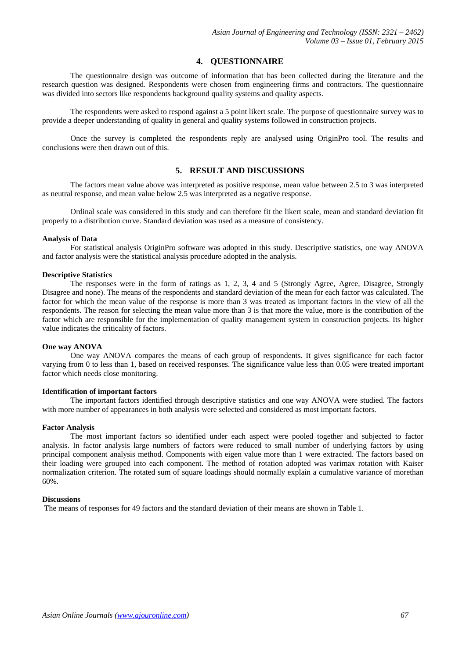## **4. QUESTIONNAIRE**

The questionnaire design was outcome of information that has been collected during the literature and the research question was designed. Respondents were chosen from engineering firms and contractors. The questionnaire was divided into sectors like respondents background quality systems and quality aspects.

The respondents were asked to respond against a 5 point likert scale. The purpose of questionnaire survey was to provide a deeper understanding of quality in general and quality systems followed in construction projects.

Once the survey is completed the respondents reply are analysed using OriginPro tool. The results and conclusions were then drawn out of this.

# **5. RESULT AND DISCUSSIONS**

The factors mean value above was interpreted as positive response, mean value between 2.5 to 3 was interpreted as neutral response, and mean value below 2.5 was interpreted as a negative response.

Ordinal scale was considered in this study and can therefore fit the likert scale, mean and standard deviation fit properly to a distribution curve. Standard deviation was used as a measure of consistency.

#### **Analysis of Data**

For statistical analysis OriginPro software was adopted in this study. Descriptive statistics, one way ANOVA and factor analysis were the statistical analysis procedure adopted in the analysis.

## **Descriptive Statistics**

The responses were in the form of ratings as 1, 2, 3, 4 and 5 (Strongly Agree, Agree, Disagree, Strongly Disagree and none). The means of the respondents and standard deviation of the mean for each factor was calculated. The factor for which the mean value of the response is more than 3 was treated as important factors in the view of all the respondents. The reason for selecting the mean value more than 3 is that more the value, more is the contribution of the factor which are responsible for the implementation of quality management system in construction projects. Its higher value indicates the criticality of factors.

### **One way ANOVA**

One way ANOVA compares the means of each group of respondents. It gives significance for each factor varying from 0 to less than 1, based on received responses. The significance value less than 0.05 were treated important factor which needs close monitoring.

#### **Identification of important factors**

The important factors identified through descriptive statistics and one way ANOVA were studied. The factors with more number of appearances in both analysis were selected and considered as most important factors.

#### **Factor Analysis**

The most important factors so identified under each aspect were pooled together and subjected to factor analysis. In factor analysis large numbers of factors were reduced to small number of underlying factors by using principal component analysis method. Components with eigen value more than 1 were extracted. The factors based on their loading were grouped into each component. The method of rotation adopted was varimax rotation with Kaiser normalization criterion. The rotated sum of square loadings should normally explain a cumulative variance of morethan 60%.

#### **Discussions**

The means of responses for 49 factors and the standard deviation of their means are shown in Table 1.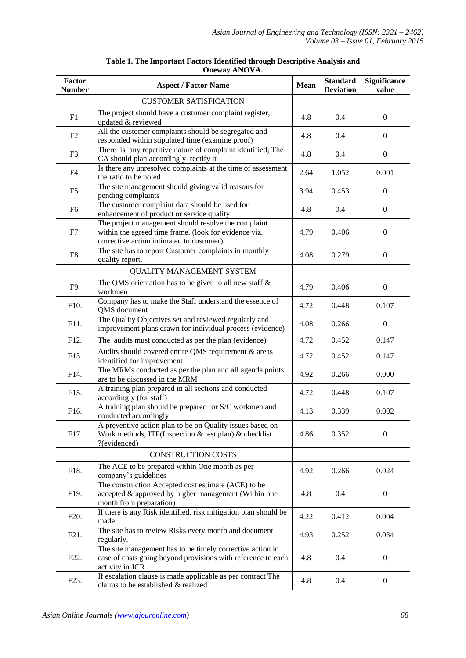| Factor<br><b>Number</b> | <b>Aspect / Factor Name</b>                                                                                                                              | <b>Mean</b> | <b>Standard</b><br><b>Deviation</b> | <b>Significance</b><br>value |
|-------------------------|----------------------------------------------------------------------------------------------------------------------------------------------------------|-------------|-------------------------------------|------------------------------|
|                         | <b>CUSTOMER SATISFICATION</b>                                                                                                                            |             |                                     |                              |
| F1.                     | The project should have a customer complaint register,<br>updated & reviewed                                                                             | 4.8         | 0.4                                 | $\boldsymbol{0}$             |
| F <sub>2</sub> .        | All the customer complaints should be segregated and<br>responded within stipulated time (examine proof)                                                 | 4.8         | 0.4                                 | $\theta$                     |
| F3.                     | There is any repetitive nature of complaint identified; The<br>CA should plan accordingly rectify it                                                     | 4.8         | 0.4                                 | $\boldsymbol{0}$             |
| F4.                     | Is there any unresolved complaints at the time of assessment<br>the ratio to be noted                                                                    | 2.64        | 1.052                               | 0.001                        |
| F5.                     | The site management should giving valid reasons for<br>pending complaints                                                                                | 3.94        | 0.453                               | $\boldsymbol{0}$             |
| F6.                     | The customer complaint data should be used for<br>enhancement of product or service quality                                                              | 4.8         | 0.4                                 | $\boldsymbol{0}$             |
| F7.                     | The project management should resolve the complaint<br>within the agreed time frame. (look for evidence viz.<br>corrective action intimated to customer) | 4.79        | 0.406                               | $\mathbf{0}$                 |
| F8.                     | The site has to report Customer complaints in monthly<br>quality report.                                                                                 | 4.08        | 0.279                               | $\boldsymbol{0}$             |
|                         | <b>QUALITY MANAGEMENT SYSTEM</b>                                                                                                                         |             |                                     |                              |
| F9.                     | The QMS orientation has to be given to all new staff $\&$<br>workmen                                                                                     | 4.79        | 0.406                               | $\boldsymbol{0}$             |
| F10.                    | Company has to make the Staff understand the essence of<br>QMS document                                                                                  | 4.72        | 0.448                               | 0.107                        |
| F11.                    | The Quality Objectives set and reviewed regularly and<br>improvement plans drawn for individual process (evidence)                                       |             | 0.266                               | $\boldsymbol{0}$             |
| F12.                    | The audits must conducted as per the plan (evidence)                                                                                                     |             | 0.452                               | 0.147                        |
| F13.                    | Audits should covered entire QMS requirement & areas<br>identified for improvement                                                                       |             | 0.452                               | 0.147                        |
| F14.                    | The MRMs conducted as per the plan and all agenda points<br>are to be discussed in the MRM                                                               | 4.92        | 0.266                               | 0.000                        |
| F15.                    | A training plan prepared in all sections and conducted<br>accordingly (for staff)                                                                        | 4.72        | 0.448                               | 0.107                        |
| F16.                    | A training plan should be prepared for S/C workmen and<br>conducted accordingly                                                                          | 4.13        | 0.339                               | 0.002                        |
| F17.                    | A preventive action plan to be on Quality issues based on<br>Work methods, ITP(Inspection & test plan) & checklist<br>?(evidenced)                       |             | 0.352                               | $\mathbf{0}$                 |
|                         | <b>CONSTRUCTION COSTS</b>                                                                                                                                |             |                                     |                              |
| F18.                    | The ACE to be prepared within One month as per<br>company's guidelines                                                                                   | 4.92        | 0.266                               | 0.024                        |
| F19.                    | The construction Accepted cost estimate (ACE) to be<br>accepted & approved by higher management (Within one<br>month from preparation)                   |             | 0.4                                 | $\boldsymbol{0}$             |
| F <sub>20</sub> .       | If there is any Risk identified, risk mitigation plan should be<br>made.                                                                                 |             | 0.412                               | 0.004                        |
| F <sub>21</sub> .       | The site has to review Risks every month and document<br>regularly.                                                                                      | 4.93        | 0.252                               | 0.034                        |
| F <sub>22</sub> .       | The site management has to be timely corrective action in<br>case of costs going beyond provisions with reference to each<br>activity in JCR             | 4.8         | 0.4                                 | $\overline{0}$               |
| F <sub>23</sub> .       | If escalation clause is made applicable as per contract The<br>claims to be established & realized                                                       | 4.8         | 0.4                                 | $\boldsymbol{0}$             |

|  | Table 1. The Important Factors Identified through Descriptive Analysis and |  |  |
|--|----------------------------------------------------------------------------|--|--|
|  | <b>Oneway ANOVA.</b>                                                       |  |  |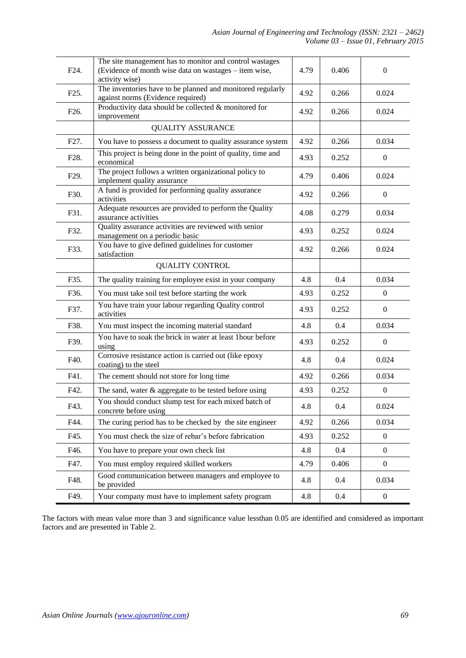| F <sub>24</sub> . | The site management has to monitor and control wastages<br>(Evidence of month wise data on wastages – item wise,<br>activity wise) | 4.79 | 0.406   | $\boldsymbol{0}$ |
|-------------------|------------------------------------------------------------------------------------------------------------------------------------|------|---------|------------------|
| F25.              | The inventories have to be planned and monitored regularly<br>against norms (Evidence required)                                    | 4.92 | 0.266   | 0.024            |
| F <sub>26</sub> . | Productivity data should be collected & monitored for<br>improvement                                                               | 4.92 | 0.266   | 0.024            |
|                   | <b>QUALITY ASSURANCE</b>                                                                                                           |      |         |                  |
| F <sub>27</sub> . | You have to possess a document to quality assurance system                                                                         | 4.92 | 0.266   | 0.034            |
| F28.              | This project is being done in the point of quality, time and<br>economical                                                         | 4.93 | 0.252   | $\overline{0}$   |
| F <sub>29</sub> . | The project follows a written organizational policy to<br>implement quality assurance                                              | 4.79 | 0.406   | 0.024            |
| F30.              | A fund is provided for performing quality assurance<br>activities                                                                  | 4.92 | 0.266   | $\boldsymbol{0}$ |
| F31.              | Adequate resources are provided to perform the Quality<br>assurance activities                                                     | 4.08 | 0.279   | 0.034            |
| F32.              | Quality assurance activities are reviewed with senior<br>management on a periodic basic                                            | 4.93 | 0.252   | 0.024            |
| F33.              | You have to give defined guidelines for customer<br>4.92<br>satisfaction                                                           |      | 0.266   | 0.024            |
|                   | <b>QUALITY CONTROL</b>                                                                                                             |      |         |                  |
| F35.              | The quality training for employee exist in your company                                                                            | 4.8  | 0.4     | 0.034            |
| F36.              | You must take soil test before starting the work                                                                                   |      | 0.252   | $\boldsymbol{0}$ |
| F37.              | You have train your labour regarding Quality control<br>activities                                                                 |      | 0.252   | $\boldsymbol{0}$ |
| F38.              | You must inspect the incoming material standard                                                                                    |      | 0.4     | 0.034            |
| F39.              | You have to soak the brick in water at least 1 hour before<br>using                                                                |      | 0.252   | $\boldsymbol{0}$ |
| F40.              | Corrosive resistance action is carried out (like epoxy<br>coating) to the steel                                                    |      | 0.4     | 0.024            |
| F41.              | The cement should not store for long time                                                                                          | 4.92 | 0.266   | 0.034            |
| F42.              | The sand, water & aggregate to be tested before using                                                                              | 4.93 | 0.252   | $\boldsymbol{0}$ |
| F43.              | You should conduct slump test for each mixed batch of<br>concrete before using                                                     |      | $0.4\,$ | 0.024            |
| F44.              | The curing period has to be checked by the site engineer                                                                           | 4.92 | 0.266   | 0.034            |
| F45.              | You must check the size of rebar's before fabrication                                                                              | 4.93 | 0.252   | $\overline{0}$   |
| F46.              | You have to prepare your own check list                                                                                            | 4.8  | 0.4     | $\overline{0}$   |
| F47.              | You must employ required skilled workers                                                                                           | 4.79 | 0.406   | $\boldsymbol{0}$ |
| F48.              | Good communication between managers and employee to<br>be provided                                                                 | 4.8  | 0.4     | 0.034            |
| F49.              | Your company must have to implement safety program                                                                                 | 4.8  | 0.4     | $\boldsymbol{0}$ |

The factors with mean value more than 3 and significance value lessthan 0.05 are identified and considered as important factors and are presented in Table 2.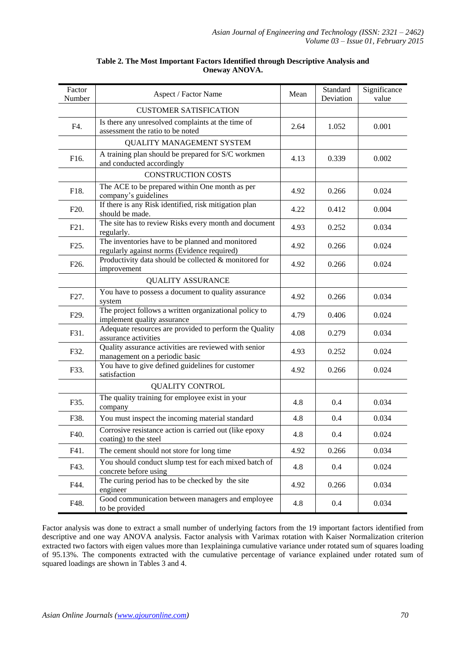| Factor<br>Number  | Aspect / Factor Name                                                                            | Mean | Standard<br>Deviation | Significance<br>value |
|-------------------|-------------------------------------------------------------------------------------------------|------|-----------------------|-----------------------|
|                   | <b>CUSTOMER SATISFICATION</b>                                                                   |      |                       |                       |
| F4.               | Is there any unresolved complaints at the time of<br>assessment the ratio to be noted           | 2.64 | 1.052                 | 0.001                 |
|                   | <b>QUALITY MANAGEMENT SYSTEM</b>                                                                |      |                       |                       |
| F16.              | A training plan should be prepared for S/C workmen<br>and conducted accordingly                 | 4.13 | 0.339                 | 0.002                 |
|                   | <b>CONSTRUCTION COSTS</b>                                                                       |      |                       |                       |
| F18.              | The ACE to be prepared within One month as per<br>company's guidelines                          | 4.92 | 0.266                 | 0.024                 |
| F <sub>20</sub> . | If there is any Risk identified, risk mitigation plan<br>should be made.                        | 4.22 | 0.412                 | 0.004                 |
| F <sub>21</sub> . | The site has to review Risks every month and document<br>regularly.                             | 4.93 | 0.252                 | 0.034                 |
| F <sub>25</sub> . | The inventories have to be planned and monitored<br>regularly against norms (Evidence required) | 4.92 | 0.266                 | 0.024                 |
| F <sub>26</sub> . | Productivity data should be collected & monitored for<br>improvement                            | 4.92 | 0.266                 | 0.024                 |
|                   | <b>QUALITY ASSURANCE</b>                                                                        |      |                       |                       |
| F <sub>27</sub> . | You have to possess a document to quality assurance<br>system                                   |      | 0.266                 | 0.034                 |
| F <sub>29</sub> . | The project follows a written organizational policy to<br>implement quality assurance           |      | 0.406                 | 0.024                 |
| F31.              | Adequate resources are provided to perform the Quality<br>assurance activities                  |      | 0.279                 | 0.034                 |
| F32.              | Quality assurance activities are reviewed with senior<br>management on a periodic basic         |      | 0.252                 | 0.024                 |
| F33.              | You have to give defined guidelines for customer<br>satisfaction                                |      | 0.266                 | 0.024                 |
|                   | <b>QUALITY CONTROL</b>                                                                          |      |                       |                       |
| F35.              | The quality training for employee exist in your<br>company                                      | 4.8  | 0.4                   | 0.034                 |
| F38.              | You must inspect the incoming material standard                                                 | 4.8  | 0.4                   | 0.034                 |
| F40.              | Corrosive resistance action is carried out (like epoxy<br>coating) to the steel                 | 4.8  | 0.4                   | 0.024                 |
| F41.              | The cement should not store for long time                                                       | 4.92 | 0.266                 | 0.034                 |
| F43.              | You should conduct slump test for each mixed batch of<br>concrete before using                  | 4.8  | 0.4                   | 0.024                 |
| F44.              | The curing period has to be checked by the site<br>engineer                                     | 4.92 | 0.266                 | 0.034                 |
| F48.              | Good communication between managers and employee<br>to be provided                              | 4.8  | 0.4                   | 0.034                 |

## **Table 2. The Most Important Factors Identified through Descriptive Analysis and Oneway ANOVA.**

Factor analysis was done to extract a small number of underlying factors from the 19 important factors identified from descriptive and one way ANOVA analysis. Factor analysis with Varimax rotation with Kaiser Normalization criterion extracted two factors with eigen values more than 1explaininga cumulative variance under rotated sum of squares loading of 95.13%. The components extracted with the cumulative percentage of variance explained under rotated sum of squared loadings are shown in Tables 3 and 4.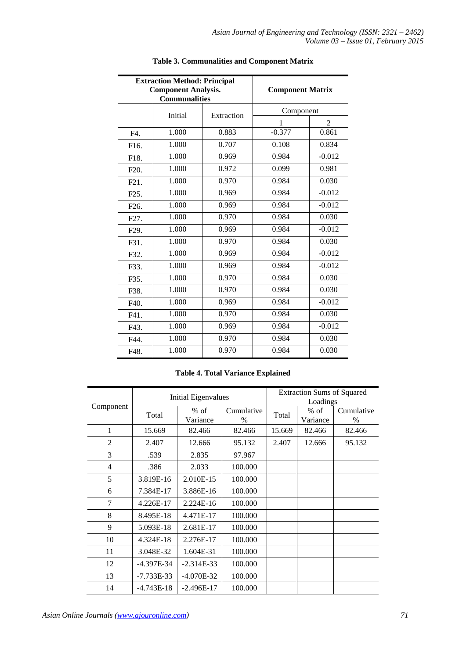|                   | <b>Extraction Method: Principal</b><br><b>Component Analysis.</b><br><b>Communalities</b> | <b>Component Matrix</b> |           |                |  |
|-------------------|-------------------------------------------------------------------------------------------|-------------------------|-----------|----------------|--|
|                   | Initial                                                                                   | Extraction              | Component |                |  |
|                   |                                                                                           |                         | 1         | $\mathfrak{D}$ |  |
| F4.               | 1.000                                                                                     | 0.883                   | $-0.377$  | 0.861          |  |
| F <sub>16</sub> . | 1.000                                                                                     | 0.707                   | 0.108     | 0.834          |  |
| F18.              | 1.000                                                                                     | 0.969                   | 0.984     | $-0.012$       |  |
| F <sub>20</sub> . | 1.000                                                                                     | 0.972                   | 0.099     | 0.981          |  |
| F21.              | 1.000                                                                                     | 0.970                   | 0.984     | 0.030          |  |
| F <sub>25</sub> . | 1.000                                                                                     | 0.969                   | 0.984     |                |  |
| F <sub>26</sub> . | 1.000                                                                                     | 0.984<br>0.969          |           | $-0.012$       |  |
| F <sub>27</sub> . | 1.000                                                                                     | 0.970                   | 0.984     | 0.030          |  |
| F <sub>29</sub> . | 1.000                                                                                     | 0.969                   | 0.984     | $-0.012$       |  |
| F31.              | 1.000                                                                                     | 0.970                   | 0.984     | 0.030          |  |
| F32.              | 1.000                                                                                     | 0.969                   | 0.984     | $-0.012$       |  |
| F33.              | 1.000                                                                                     | 0.969                   | 0.984     | $-0.012$       |  |
| F35.              | 1.000                                                                                     | 0.970                   | 0.984     | 0.030          |  |
| F38.              | 1.000                                                                                     | 0.970                   | 0.984     | 0.030          |  |
| F40.              | 1.000                                                                                     | 0.969                   | 0.984     | $-0.012$       |  |
| F41.              | 1.000                                                                                     | 0.970                   | 0.984     | 0.030          |  |
| F43.              | 1.000                                                                                     | 0.969                   | 0.984     | $-0.012$       |  |
| F44.              | 1.000                                                                                     | 0.970                   | 0.984     | 0.030          |  |
| F48.              | 1.000                                                                                     | 0.970                   | 0.984     | 0.030          |  |

# **Table 3. Communalities and Component Matrix**

# **Table 4. Total Variance Explained**

|                | Initial Eigenvalues |                    |                    | <b>Extraction Sums of Squared</b><br>Loadings |                    |                    |
|----------------|---------------------|--------------------|--------------------|-----------------------------------------------|--------------------|--------------------|
| Component      | Total               | $%$ of<br>Variance | Cumulative<br>$\%$ | Total                                         | $%$ of<br>Variance | Cumulative<br>$\%$ |
| 1              | 15.669              | 82.466             | 82.466             | 15.669                                        | 82.466             | 82.466             |
| $\overline{2}$ | 2.407               | 12.666             | 95.132             | 2.407                                         | 12.666             | 95.132             |
| 3              | .539                | 2.835              | 97.967             |                                               |                    |                    |
| 4              | .386                | 2.033              | 100.000            |                                               |                    |                    |
| 5              | 3.819E-16           | 2.010E-15          | 100.000            |                                               |                    |                    |
| 6              | 7.384E-17           | 3.886E-16          | 100.000            |                                               |                    |                    |
| 7              | 4.226E-17           | 2.224E-16          | 100.000            |                                               |                    |                    |
| 8              | 8.495E-18           | 4.471E-17          | 100.000            |                                               |                    |                    |
| 9              | 5.093E-18           | 2.681E-17          | 100.000            |                                               |                    |                    |
| 10             | 4.324E-18           | 2.276E-17          | 100.000            |                                               |                    |                    |
| 11             | 3.048E-32           | 1.604E-31          | 100.000            |                                               |                    |                    |
| 12             | $-4.397E-34$        | $-2.314E-33$       | 100.000            |                                               |                    |                    |
| 13             | $-7.733E-33$        | $-4.070E-32$       | 100.000            |                                               |                    |                    |
| 14             | $-4.743E-18$        | $-2.496E-17$       | 100.000            |                                               |                    |                    |